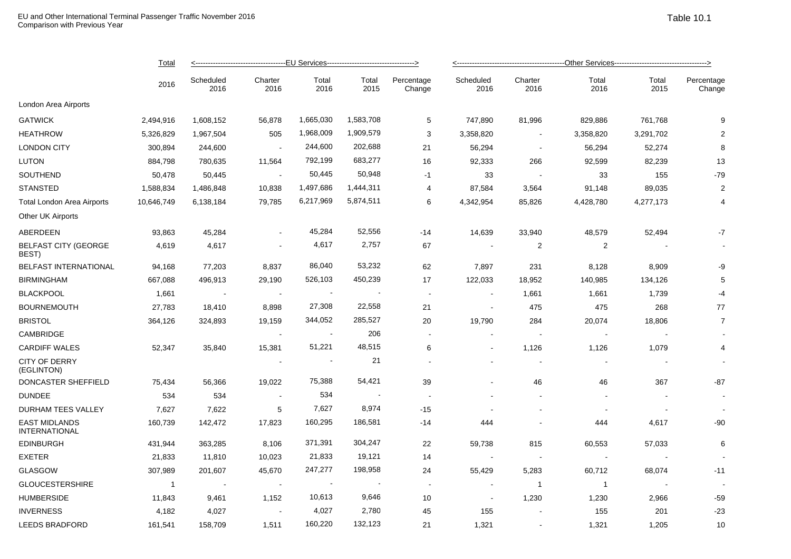|                                              | <b>Total</b><br>2016 |                   |                          |                |               |                          |                   |                 |                |               |                      |  |
|----------------------------------------------|----------------------|-------------------|--------------------------|----------------|---------------|--------------------------|-------------------|-----------------|----------------|---------------|----------------------|--|
|                                              |                      | Scheduled<br>2016 | Charter<br>2016          | Total<br>2016  | Total<br>2015 | Percentage<br>Change     | Scheduled<br>2016 | Charter<br>2016 | Total<br>2016  | Total<br>2015 | Percentage<br>Change |  |
| London Area Airports                         |                      |                   |                          |                |               |                          |                   |                 |                |               |                      |  |
| <b>GATWICK</b>                               | 2,494,916            | 1,608,152         | 56,878                   | 1,665,030      | 1,583,708     | 5                        | 747,890           | 81,996          | 829,886        | 761,768       | 9                    |  |
| <b>HEATHROW</b>                              | 5,326,829            | 1,967,504         | 505                      | 1,968,009      | 1,909,579     | 3                        | 3,358,820         | $\sim$          | 3,358,820      | 3,291,702     | $\overline{2}$       |  |
| <b>LONDON CITY</b>                           | 300,894              | 244,600           | $\sim$                   | 244,600        | 202,688       | 21                       | 56,294            | $\sim$          | 56,294         | 52,274        | 8                    |  |
| <b>LUTON</b>                                 | 884,798              | 780,635           | 11,564                   | 792,199        | 683,277       | 16                       | 92,333            | 266             | 92,599         | 82,239        | 13                   |  |
| SOUTHEND                                     | 50,478               | 50,445            | $\sim$                   | 50,445         | 50,948        | $-1$                     | 33                | $\sim$          | 33             | 155           | $-79$                |  |
| <b>STANSTED</b>                              | 1,588,834            | 1,486,848         | 10,838                   | 1,497,686      | 1,444,311     | 4                        | 87,584            | 3,564           | 91,148         | 89,035        | $\overline{2}$       |  |
| <b>Total London Area Airports</b>            | 10,646,749           | 6,138,184         | 79,785                   | 6,217,969      | 5,874,511     | 6                        | 4,342,954         | 85,826          | 4,428,780      | 4,277,173     | 4                    |  |
| Other UK Airports                            |                      |                   |                          |                |               |                          |                   |                 |                |               |                      |  |
| ABERDEEN                                     | 93,863               | 45,284            | $\blacksquare$           | 45,284         | 52,556        | $-14$                    | 14,639            | 33,940          | 48,579         | 52,494        | $-7$                 |  |
| <b>BELFAST CITY (GEORGE</b><br>BEST)         | 4,619                | 4,617             | $\sim$                   | 4,617          | 2,757         | 67                       | $\sim$            | $\overline{2}$  | $\overline{2}$ |               |                      |  |
| <b>BELFAST INTERNATIONAL</b>                 | 94,168               | 77,203            | 8,837                    | 86,040         | 53,232        | 62                       | 7,897             | 231             | 8,128          | 8,909         | -9                   |  |
| <b>BIRMINGHAM</b>                            | 667,088              | 496,913           | 29,190                   | 526,103        | 450,239       | 17                       | 122,033           | 18,952          | 140,985        | 134,126       | 5                    |  |
| <b>BLACKPOOL</b>                             | 1,661                |                   | $\blacksquare$           |                |               | $\blacksquare$           |                   | 1,661           | 1,661          | 1,739         | -4                   |  |
| <b>BOURNEMOUTH</b>                           | 27,783               | 18,410            | 8,898                    | 27,308         | 22,558        | 21                       | $\blacksquare$    | 475             | 475            | 268           | 77                   |  |
| <b>BRISTOL</b>                               | 364,126              | 324,893           | 19,159                   | 344,052        | 285,527       | 20                       | 19,790            | 284             | 20,074         | 18,806        | $\overline{7}$       |  |
| <b>CAMBRIDGE</b>                             |                      |                   | $\sim$                   | $\blacksquare$ | 206           | $\sim$                   |                   | $\sim$          |                |               |                      |  |
| <b>CARDIFF WALES</b>                         | 52,347               | 35,840            | 15,381                   | 51,221         | 48,515        | 6                        |                   | 1,126           | 1,126          | 1,079         | 4                    |  |
| CITY OF DERRY<br>(EGLINTON)                  |                      |                   |                          |                | 21            |                          |                   |                 |                |               |                      |  |
| DONCASTER SHEFFIELD                          | 75,434               | 56,366            | 19,022                   | 75,388         | 54,421        | 39                       |                   | 46              | 46             | 367           | $-87$                |  |
| <b>DUNDEE</b>                                | 534                  | 534               | $\overline{\phantom{a}}$ | 534            |               | $\overline{\phantom{a}}$ |                   |                 |                |               |                      |  |
| DURHAM TEES VALLEY                           | 7,627                | 7,622             | 5                        | 7,627          | 8,974         | $-15$                    |                   |                 |                |               |                      |  |
| <b>EAST MIDLANDS</b><br><b>INTERNATIONAL</b> | 160,739              | 142,472           | 17,823                   | 160,295        | 186,581       | $-14$                    | 444               |                 | 444            | 4,617         | -90                  |  |
| <b>EDINBURGH</b>                             | 431,944              | 363,285           | 8,106                    | 371,391        | 304,247       | 22                       | 59,738            | 815             | 60,553         | 57,033        | 6                    |  |
| <b>EXETER</b>                                | 21,833               | 11,810            | 10,023                   | 21,833         | 19,121        | 14                       |                   |                 |                |               |                      |  |
| <b>GLASGOW</b>                               | 307,989              | 201,607           | 45,670                   | 247,277        | 198,958       | 24                       | 55,429            | 5,283           | 60,712         | 68,074        | $-11$                |  |
| <b>GLOUCESTERSHIRE</b>                       | $\mathbf{1}$         | $\sim$ $\pm$      | $\sim$                   | $\blacksquare$ |               | $\sim$                   | $\sim$            | $\overline{1}$  | $\mathbf{1}$   |               |                      |  |
| <b>HUMBERSIDE</b>                            | 11,843               | 9,461             | 1,152                    | 10,613         | 9,646         | 10                       | $\blacksquare$    | 1,230           | 1,230          | 2,966         | -59                  |  |
| <b>INVERNESS</b>                             | 4,182                | 4,027             | $\overline{\phantom{a}}$ | 4,027          | 2,780         | 45                       | 155               |                 | 155            | 201           | $-23$                |  |
| <b>LEEDS BRADFORD</b>                        | 161,541              | 158,709           | 1,511                    | 160,220        | 132,123       | 21                       | 1,321             |                 | 1,321          | 1,205         | 10                   |  |